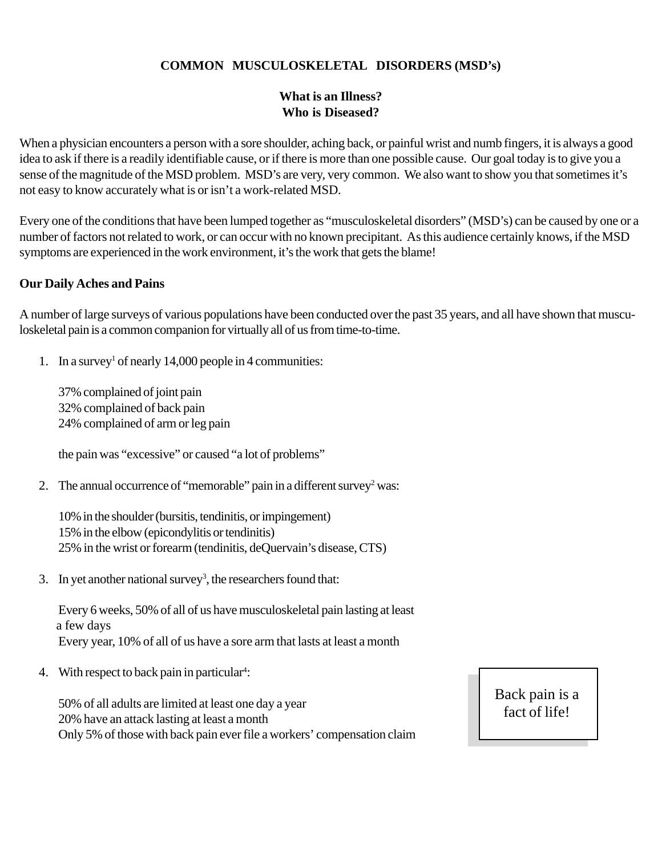## **COMMON MUSCULOSKELETAL DISORDERS (MSD's)**

## **What is an Illness? Who is Diseased?**

When a physician encounters a person with a sore shoulder, aching back, or painful wrist and numb fingers, it is always a good idea to ask if there is a readily identifiable cause, or if there is more than one possible cause. Our goal today is to give you a sense of the magnitude of the MSD problem. MSD's are very, very common. We also want to show you that sometimes it's not easy to know accurately what is or isn't a work-related MSD.

Every one of the conditions that have been lumped together as "musculoskeletal disorders" (MSD's) can be caused by one or a number of factors not related to work, or can occur with no known precipitant. As this audience certainly knows, if the MSD symptoms are experienced in the work environment, it's the work that gets the blame!

## **Our Daily Aches and Pains**

A number of large surveys of various populations have been conducted over the past 35 years, and all have shown that musculoskeletal pain is a common companion for virtually all of us from time-to-time.

1. In a survey<sup>1</sup> of nearly 14,000 people in 4 communities:

37% complained of joint pain 32% complained of back pain 24% complained of arm or leg pain

the pain was "excessive" or caused "a lot of problems"

2. The annual occurrence of "memorable" pain in a different survey<sup>2</sup> was:

10% in the shoulder (bursitis, tendinitis, or impingement) 15% in the elbow (epicondylitis or tendinitis) 25% in the wrist or forearm (tendinitis, deQuervain's disease, CTS)

3. In yet another national survey<sup>3</sup>, the researchers found that:

Every 6 weeks, 50% of all of us have musculoskeletal pain lasting at least a few days Every year, 10% of all of us have a sore arm that lasts at least a month

4. With respect to back pain in particular<sup>4</sup>:

50% of all adults are limited at least one day a year 20% have an attack lasting at least a month Only 5% of those with back pain ever file a workers' compensation claim Back pain is a fact of life!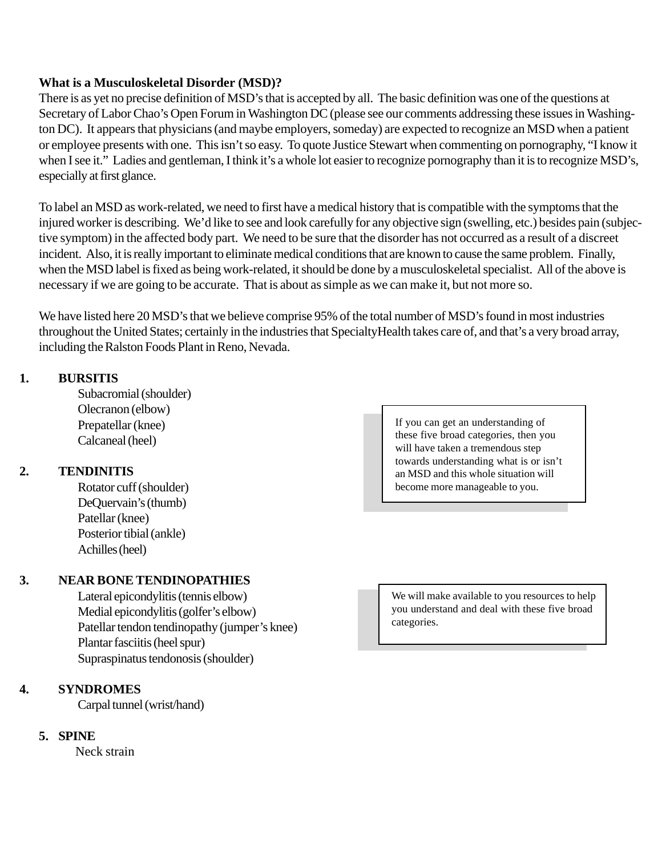#### **What is a Musculoskeletal Disorder (MSD)?**

There is as yet no precise definition of MSD's that is accepted by all. The basic definition was one of the questions at Secretary of Labor Chao's Open Forum in Washington DC (please see our comments addressing these issues in Washington DC). It appears that physicians (and maybe employers, someday) are expected to recognize an MSD when a patient or employee presents with one. This isn't so easy. To quote Justice Stewart when commenting on pornography, "I know it when I see it." Ladies and gentleman, I think it's a whole lot easier to recognize pornography than it is to recognize MSD's, especially at first glance.

To label an MSD as work-related, we need to first have a medical history that is compatible with the symptoms that the injured worker is describing. We'd like to see and look carefully for any objective sign (swelling, etc.) besides pain (subjective symptom) in the affected body part. We need to be sure that the disorder has not occurred as a result of a discreet incident. Also, it is really important to eliminate medical conditions that are known to cause the same problem. Finally, when the MSD label is fixed as being work-related, it should be done by a musculoskeletal specialist. All of the above is necessary if we are going to be accurate. That is about as simple as we can make it, but not more so.

We have listed here 20 MSD's that we believe comprise 95% of the total number of MSD's found in most industries throughout the United States; certainly in the industries that SpecialtyHealth takes care of, and that's a very broad array, including the Ralston Foods Plant in Reno, Nevada.

#### **1. BURSITIS**

Subacromial (shoulder) Olecranon (elbow) Prepatellar (knee) Calcaneal (heel)

## **2. TENDINITIS**

Rotator cuff (shoulder) DeQuervain's (thumb) Patellar (knee) Posterior tibial (ankle) Achilles (heel)

## **3. NEAR BONE TENDINOPATHIES**

Lateral epicondylitis (tennis elbow) Medial epicondylitis (golfer's elbow) Patellar tendon tendinopathy (jumper's knee) Plantar fasciitis (heel spur) Supraspinatus tendonosis (shoulder)

## **4. SYNDROMES**

Carpal tunnel (wrist/hand)

## **5. SPINE**

Neck strain

If you can get an understanding of these five broad categories, then you will have taken a tremendous step towards understanding what is or isn't an MSD and this whole situation will become more manageable to you.

We will make available to you resources to help you understand and deal with these five broad categories.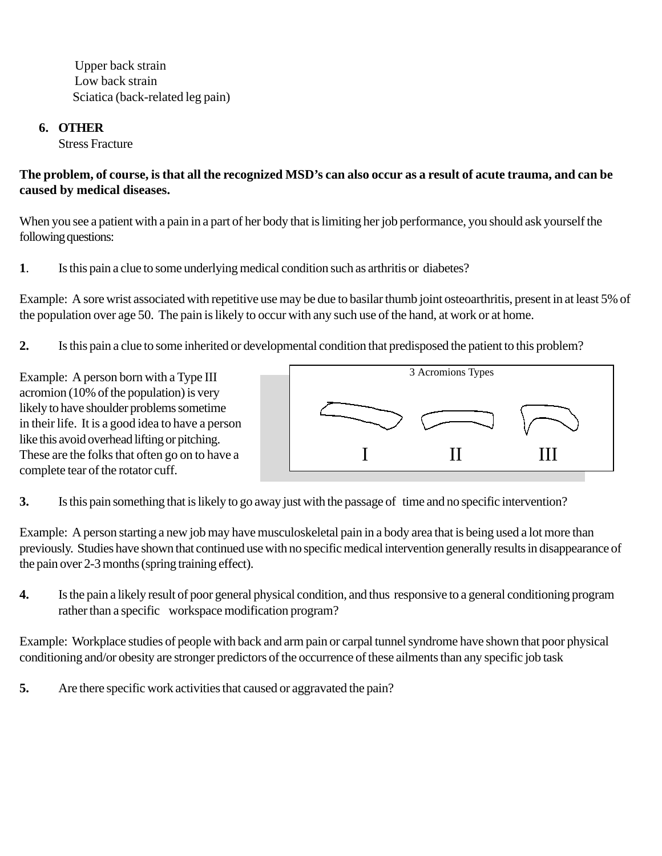Upper back strain Low back strain Sciatica (back-related leg pain)

## **6. OTHER**

Stress Fracture

## **The problem, of course, is that all the recognized MSD's can also occur as a result of acute trauma, and can be caused by medical diseases.**

When you see a patient with a pain in a part of her body that is limiting her job performance, you should ask yourself the following questions:

**1**. Is this pain a clue to some underlying medical condition such as arthritis or diabetes?

Example: A sore wrist associated with repetitive use may be due to basilar thumb joint osteoarthritis, present in at least 5% of the population over age 50. The pain is likely to occur with any such use of the hand, at work or at home.

**2.** Is this pain a clue to some inherited or developmental condition that predisposed the patient to this problem?

Example: A person born with a Type III acromion (10% of the population) is very likely to have shoulder problems sometime in their life. It is a good idea to have a person like this avoid overhead lifting or pitching. These are the folks that often go on to have a complete tear of the rotator cuff.



**3.** Is this pain something that is likely to go away just with the passage of time and no specific intervention?

Example: A person starting a new job may have musculoskeletal pain in a body area that is being used a lot more than previously. Studies have shown that continued use with no specific medical intervention generally results in disappearance of the pain over 2-3 months (spring training effect).

**4.** Is the pain a likely result of poor general physical condition, and thus responsive to a general conditioning program rather than a specific workspace modification program?

Example: Workplace studies of people with back and arm pain or carpal tunnel syndrome have shown that poor physical conditioning and/or obesity are stronger predictors of the occurrence of these ailments than any specific job task

**5.** Are there specific work activities that caused or aggravated the pain?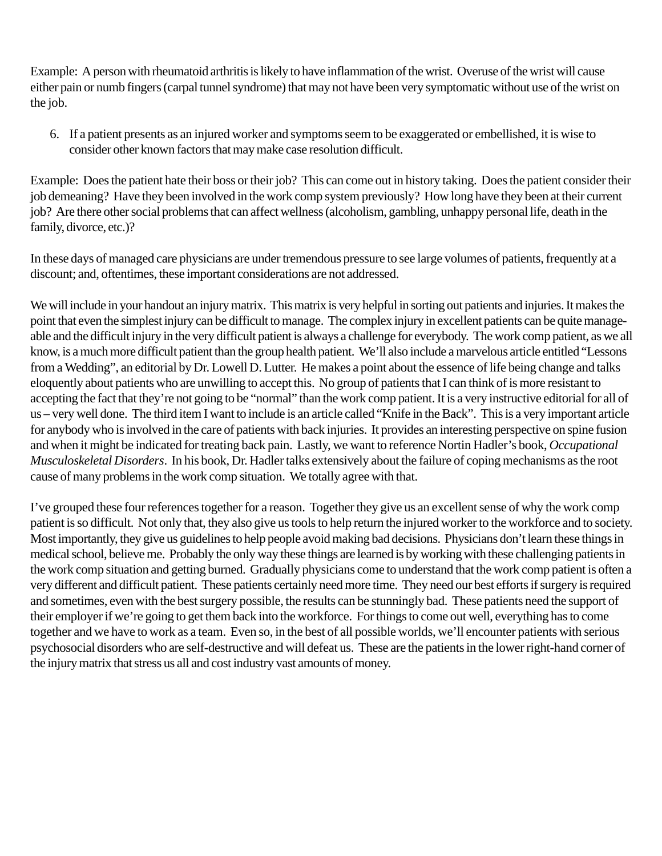Example: A person with rheumatoid arthritis is likely to have inflammation of the wrist. Overuse of the wrist will cause either pain or numb fingers (carpal tunnel syndrome) that may not have been very symptomatic without use of the wrist on the job.

6. If a patient presents as an injured worker and symptoms seem to be exaggerated or embellished, it is wise to consider other known factors that may make case resolution difficult.

Example: Does the patient hate their boss or their job? This can come out in history taking. Does the patient consider their job demeaning? Have they been involved in the work comp system previously? How long have they been at their current job? Are there other social problems that can affect wellness (alcoholism, gambling, unhappy personal life, death in the family, divorce, etc.)?

In these days of managed care physicians are under tremendous pressure to see large volumes of patients, frequently at a discount; and, oftentimes, these important considerations are not addressed.

We will include in your handout an injury matrix. This matrix is very helpful in sorting out patients and injuries. It makes the point that even the simplest injury can be difficult to manage. The complex injury in excellent patients can be quite manageable and the difficult injury in the very difficult patient is always a challenge for everybody. The work comp patient, as we all know, is a much more difficult patient than the group health patient. We'll also include a marvelous article entitled "Lessons from a Wedding", an editorial by Dr. Lowell D. Lutter. He makes a point about the essence of life being change and talks eloquently about patients who are unwilling to accept this. No group of patients that I can think of is more resistant to accepting the fact that they're not going to be "normal" than the work comp patient. It is a very instructive editorial for all of us – very well done. The third item I want to include is an article called "Knife in the Back". This is a very important article for anybody who is involved in the care of patients with back injuries. It provides an interesting perspective on spine fusion and when it might be indicated for treating back pain. Lastly, we want to reference Nortin Hadler's book, *Occupational Musculoskeletal Disorders*. In his book, Dr. Hadler talks extensively about the failure of coping mechanisms as the root cause of many problems in the work comp situation. We totally agree with that.

I've grouped these four references together for a reason. Together they give us an excellent sense of why the work comp patient is so difficult. Not only that, they also give us tools to help return the injured worker to the workforce and to society. Most importantly, they give us guidelines to help people avoid making bad decisions. Physicians don't learn these things in medical school, believe me. Probably the only way these things are learned is by working with these challenging patients in the work comp situation and getting burned. Gradually physicians come to understand that the work comp patient is often a very different and difficult patient. These patients certainly need more time. They need our best efforts if surgery is required and sometimes, even with the best surgery possible, the results can be stunningly bad. These patients need the support of their employer if we're going to get them back into the workforce. For things to come out well, everything has to come together and we have to work as a team. Even so, in the best of all possible worlds, we'll encounter patients with serious psychosocial disorders who are self-destructive and will defeat us. These are the patients in the lower right-hand corner of the injury matrix that stress us all and cost industry vast amounts of money.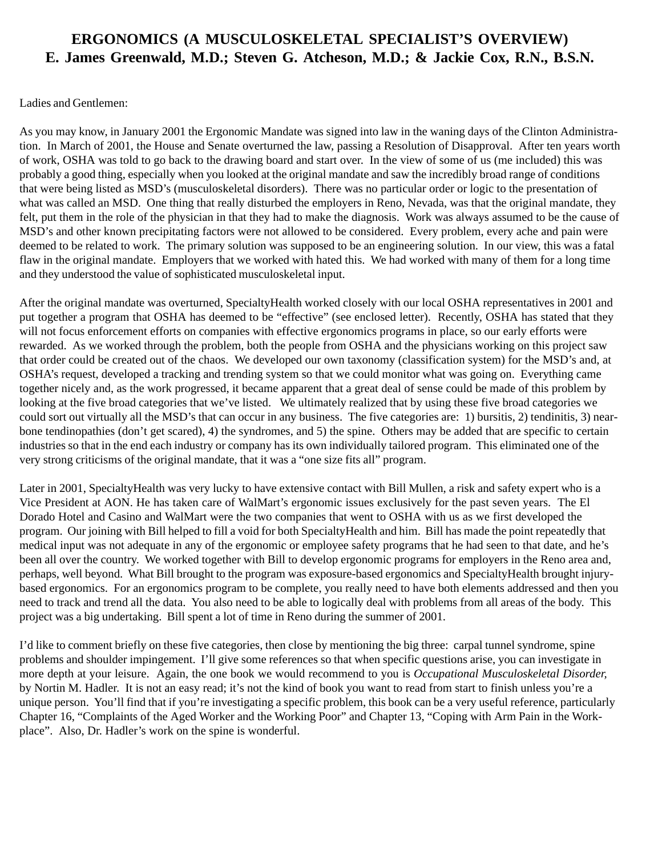## **ERGONOMICS (A MUSCULOSKELETAL SPECIALIST'S OVERVIEW) E. James Greenwald, M.D.; Steven G. Atcheson, M.D.; & Jackie Cox, R.N., B.S.N.**

#### Ladies and Gentlemen:

As you may know, in January 2001 the Ergonomic Mandate was signed into law in the waning days of the Clinton Administration. In March of 2001, the House and Senate overturned the law, passing a Resolution of Disapproval. After ten years worth of work, OSHA was told to go back to the drawing board and start over. In the view of some of us (me included) this was probably a good thing, especially when you looked at the original mandate and saw the incredibly broad range of conditions that were being listed as MSD's (musculoskeletal disorders). There was no particular order or logic to the presentation of what was called an MSD. One thing that really disturbed the employers in Reno, Nevada, was that the original mandate, they felt, put them in the role of the physician in that they had to make the diagnosis. Work was always assumed to be the cause of MSD's and other known precipitating factors were not allowed to be considered. Every problem, every ache and pain were deemed to be related to work. The primary solution was supposed to be an engineering solution. In our view, this was a fatal flaw in the original mandate. Employers that we worked with hated this. We had worked with many of them for a long time and they understood the value of sophisticated musculoskeletal input.

After the original mandate was overturned, SpecialtyHealth worked closely with our local OSHA representatives in 2001 and put together a program that OSHA has deemed to be "effective" (see enclosed letter). Recently, OSHA has stated that they will not focus enforcement efforts on companies with effective ergonomics programs in place, so our early efforts were rewarded. As we worked through the problem, both the people from OSHA and the physicians working on this project saw that order could be created out of the chaos. We developed our own taxonomy (classification system) for the MSD's and, at OSHA's request, developed a tracking and trending system so that we could monitor what was going on. Everything came together nicely and, as the work progressed, it became apparent that a great deal of sense could be made of this problem by looking at the five broad categories that we've listed. We ultimately realized that by using these five broad categories we could sort out virtually all the MSD's that can occur in any business. The five categories are: 1) bursitis, 2) tendinitis, 3) nearbone tendinopathies (don't get scared), 4) the syndromes, and 5) the spine. Others may be added that are specific to certain industries so that in the end each industry or company has its own individually tailored program. This eliminated one of the very strong criticisms of the original mandate, that it was a "one size fits all" program.

Later in 2001, SpecialtyHealth was very lucky to have extensive contact with Bill Mullen, a risk and safety expert who is a Vice President at AON. He has taken care of WalMart's ergonomic issues exclusively for the past seven years. The El Dorado Hotel and Casino and WalMart were the two companies that went to OSHA with us as we first developed the program. Our joining with Bill helped to fill a void for both SpecialtyHealth and him. Bill has made the point repeatedly that medical input was not adequate in any of the ergonomic or employee safety programs that he had seen to that date, and he's been all over the country. We worked together with Bill to develop ergonomic programs for employers in the Reno area and, perhaps, well beyond. What Bill brought to the program was exposure-based ergonomics and SpecialtyHealth brought injurybased ergonomics. For an ergonomics program to be complete, you really need to have both elements addressed and then you need to track and trend all the data. You also need to be able to logically deal with problems from all areas of the body. This project was a big undertaking. Bill spent a lot of time in Reno during the summer of 2001.

I'd like to comment briefly on these five categories, then close by mentioning the big three: carpal tunnel syndrome, spine problems and shoulder impingement. I'll give some references so that when specific questions arise, you can investigate in more depth at your leisure. Again, the one book we would recommend to you is *Occupational Musculoskeletal Disorder,* by Nortin M. Hadler. It is not an easy read; it's not the kind of book you want to read from start to finish unless you're a unique person. You'll find that if you're investigating a specific problem, this book can be a very useful reference, particularly Chapter 16, "Complaints of the Aged Worker and the Working Poor" and Chapter 13, "Coping with Arm Pain in the Workplace". Also, Dr. Hadler's work on the spine is wonderful.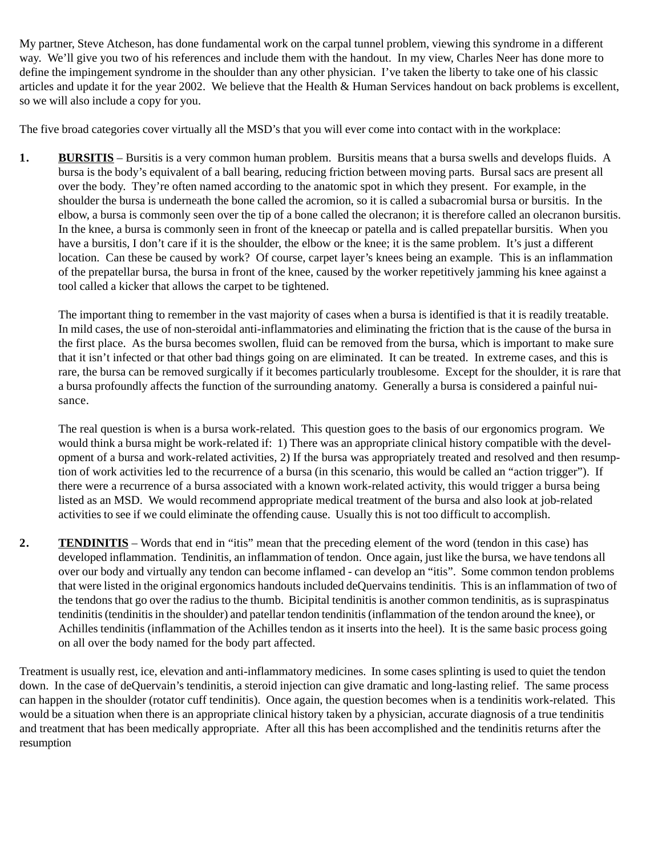My partner, Steve Atcheson, has done fundamental work on the carpal tunnel problem, viewing this syndrome in a different way. We'll give you two of his references and include them with the handout. In my view, Charles Neer has done more to define the impingement syndrome in the shoulder than any other physician. I've taken the liberty to take one of his classic articles and update it for the year 2002. We believe that the Health & Human Services handout on back problems is excellent, so we will also include a copy for you.

The five broad categories cover virtually all the MSD's that you will ever come into contact with in the workplace:

**1. BURSITIS** – Bursitis is a very common human problem. Bursitis means that a bursa swells and develops fluids. A bursa is the body's equivalent of a ball bearing, reducing friction between moving parts. Bursal sacs are present all over the body. They're often named according to the anatomic spot in which they present. For example, in the shoulder the bursa is underneath the bone called the acromion, so it is called a subacromial bursa or bursitis. In the elbow, a bursa is commonly seen over the tip of a bone called the olecranon; it is therefore called an olecranon bursitis. In the knee, a bursa is commonly seen in front of the kneecap or patella and is called prepatellar bursitis. When you have a bursitis, I don't care if it is the shoulder, the elbow or the knee; it is the same problem. It's just a different location. Can these be caused by work? Of course, carpet layer's knees being an example. This is an inflammation of the prepatellar bursa, the bursa in front of the knee, caused by the worker repetitively jamming his knee against a tool called a kicker that allows the carpet to be tightened.

The important thing to remember in the vast majority of cases when a bursa is identified is that it is readily treatable. In mild cases, the use of non-steroidal anti-inflammatories and eliminating the friction that is the cause of the bursa in the first place. As the bursa becomes swollen, fluid can be removed from the bursa, which is important to make sure that it isn't infected or that other bad things going on are eliminated. It can be treated. In extreme cases, and this is rare, the bursa can be removed surgically if it becomes particularly troublesome. Except for the shoulder, it is rare that a bursa profoundly affects the function of the surrounding anatomy. Generally a bursa is considered a painful nuisance.

The real question is when is a bursa work-related. This question goes to the basis of our ergonomics program. We would think a bursa might be work-related if: 1) There was an appropriate clinical history compatible with the development of a bursa and work-related activities, 2) If the bursa was appropriately treated and resolved and then resumption of work activities led to the recurrence of a bursa (in this scenario, this would be called an "action trigger"). If there were a recurrence of a bursa associated with a known work-related activity, this would trigger a bursa being listed as an MSD. We would recommend appropriate medical treatment of the bursa and also look at job-related activities to see if we could eliminate the offending cause. Usually this is not too difficult to accomplish.

**2. TENDINITIS** – Words that end in "itis" mean that the preceding element of the word (tendon in this case) has developed inflammation. Tendinitis, an inflammation of tendon. Once again, just like the bursa, we have tendons all over our body and virtually any tendon can become inflamed - can develop an "itis". Some common tendon problems that were listed in the original ergonomics handouts included deQuervains tendinitis. This is an inflammation of two of the tendons that go over the radius to the thumb. Bicipital tendinitis is another common tendinitis, as is supraspinatus tendinitis (tendinitis in the shoulder) and patellar tendon tendinitis (inflammation of the tendon around the knee), or Achilles tendinitis (inflammation of the Achilles tendon as it inserts into the heel). It is the same basic process going on all over the body named for the body part affected.

Treatment is usually rest, ice, elevation and anti-inflammatory medicines. In some cases splinting is used to quiet the tendon down. In the case of deQuervain's tendinitis, a steroid injection can give dramatic and long-lasting relief. The same process can happen in the shoulder (rotator cuff tendinitis). Once again, the question becomes when is a tendinitis work-related. This would be a situation when there is an appropriate clinical history taken by a physician, accurate diagnosis of a true tendinitis and treatment that has been medically appropriate. After all this has been accomplished and the tendinitis returns after the resumption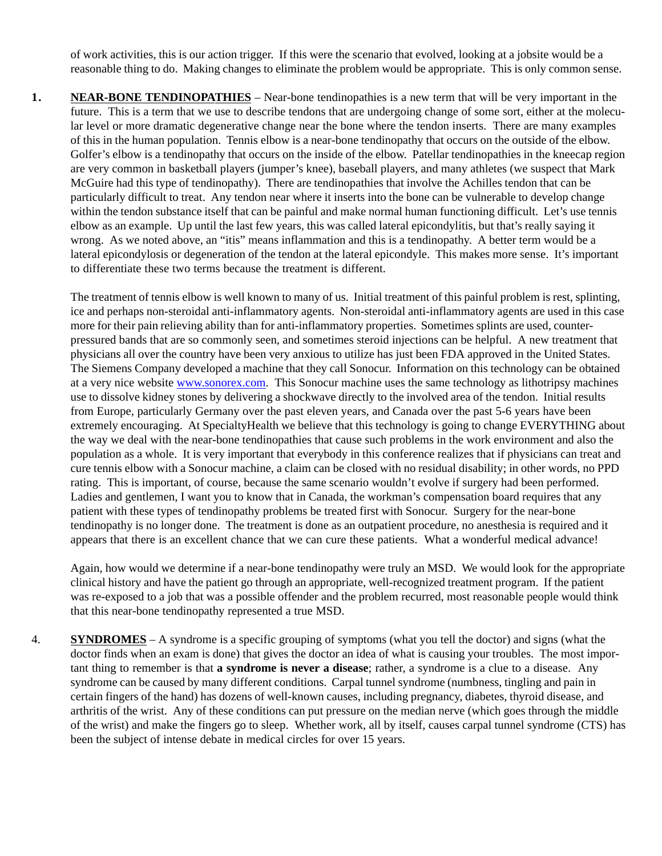of work activities, this is our action trigger. If this were the scenario that evolved, looking at a jobsite would be a reasonable thing to do. Making changes to eliminate the problem would be appropriate. This is only common sense.

**1. NEAR-BONE TENDINOPATHIES** – Near-bone tendinopathies is a new term that will be very important in the future. This is a term that we use to describe tendons that are undergoing change of some sort, either at the molecular level or more dramatic degenerative change near the bone where the tendon inserts. There are many examples of this in the human population. Tennis elbow is a near-bone tendinopathy that occurs on the outside of the elbow. Golfer's elbow is a tendinopathy that occurs on the inside of the elbow. Patellar tendinopathies in the kneecap region are very common in basketball players (jumper's knee), baseball players, and many athletes (we suspect that Mark McGuire had this type of tendinopathy). There are tendinopathies that involve the Achilles tendon that can be particularly difficult to treat. Any tendon near where it inserts into the bone can be vulnerable to develop change within the tendon substance itself that can be painful and make normal human functioning difficult. Let's use tennis elbow as an example. Up until the last few years, this was called lateral epicondylitis, but that's really saying it wrong. As we noted above, an "itis" means inflammation and this is a tendinopathy. A better term would be a lateral epicondylosis or degeneration of the tendon at the lateral epicondyle. This makes more sense. It's important to differentiate these two terms because the treatment is different.

The treatment of tennis elbow is well known to many of us. Initial treatment of this painful problem is rest, splinting, ice and perhaps non-steroidal anti-inflammatory agents. Non-steroidal anti-inflammatory agents are used in this case more for their pain relieving ability than for anti-inflammatory properties. Sometimes splints are used, counterpressured bands that are so commonly seen, and sometimes steroid injections can be helpful. A new treatment that physicians all over the country have been very anxious to utilize has just been FDA approved in the United States. The Siemens Company developed a machine that they call Sonocur. Information on this technology can be obtained at a very nice website www.sonorex.com. This Sonocur machine uses the same technology as lithotripsy machines use to dissolve kidney stones by delivering a shockwave directly to the involved area of the tendon. Initial results from Europe, particularly Germany over the past eleven years, and Canada over the past 5-6 years have been extremely encouraging. At SpecialtyHealth we believe that this technology is going to change EVERYTHING about the way we deal with the near-bone tendinopathies that cause such problems in the work environment and also the population as a whole. It is very important that everybody in this conference realizes that if physicians can treat and cure tennis elbow with a Sonocur machine, a claim can be closed with no residual disability; in other words, no PPD rating. This is important, of course, because the same scenario wouldn't evolve if surgery had been performed. Ladies and gentlemen, I want you to know that in Canada, the workman's compensation board requires that any patient with these types of tendinopathy problems be treated first with Sonocur. Surgery for the near-bone tendinopathy is no longer done. The treatment is done as an outpatient procedure, no anesthesia is required and it appears that there is an excellent chance that we can cure these patients. What a wonderful medical advance!

Again, how would we determine if a near-bone tendinopathy were truly an MSD. We would look for the appropriate clinical history and have the patient go through an appropriate, well-recognized treatment program. If the patient was re-exposed to a job that was a possible offender and the problem recurred, most reasonable people would think that this near-bone tendinopathy represented a true MSD.

4. **SYNDROMES** – A syndrome is a specific grouping of symptoms (what you tell the doctor) and signs (what the doctor finds when an exam is done) that gives the doctor an idea of what is causing your troubles. The most important thing to remember is that **a syndrome is never a disease**; rather, a syndrome is a clue to a disease. Any syndrome can be caused by many different conditions. Carpal tunnel syndrome (numbness, tingling and pain in certain fingers of the hand) has dozens of well-known causes, including pregnancy, diabetes, thyroid disease, and arthritis of the wrist. Any of these conditions can put pressure on the median nerve (which goes through the middle of the wrist) and make the fingers go to sleep. Whether work, all by itself, causes carpal tunnel syndrome (CTS) has been the subject of intense debate in medical circles for over 15 years.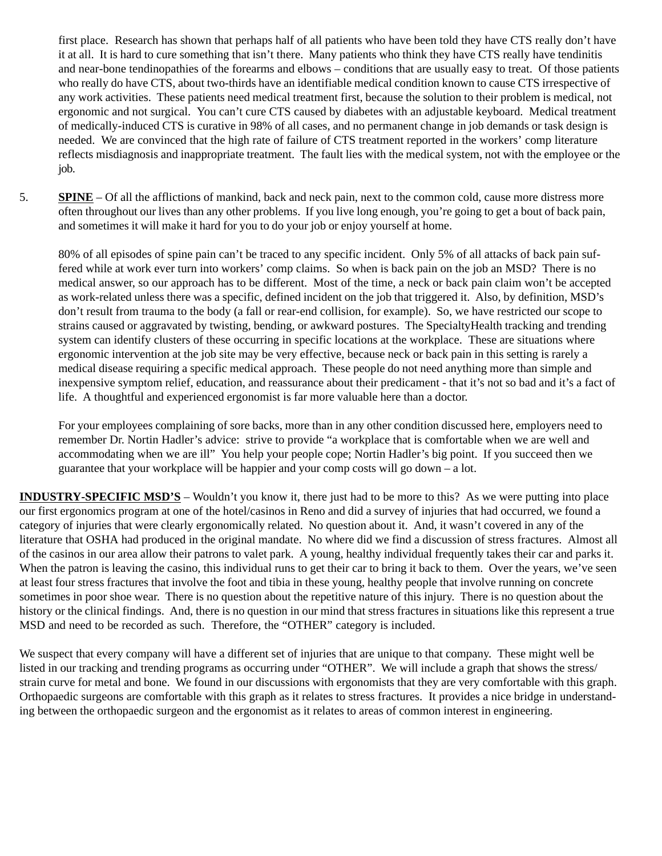first place. Research has shown that perhaps half of all patients who have been told they have CTS really don't have it at all. It is hard to cure something that isn't there. Many patients who think they have CTS really have tendinitis and near-bone tendinopathies of the forearms and elbows – conditions that are usually easy to treat. Of those patients who really do have CTS, about two-thirds have an identifiable medical condition known to cause CTS irrespective of any work activities. These patients need medical treatment first, because the solution to their problem is medical, not ergonomic and not surgical. You can't cure CTS caused by diabetes with an adjustable keyboard. Medical treatment of medically-induced CTS is curative in 98% of all cases, and no permanent change in job demands or task design is needed. We are convinced that the high rate of failure of CTS treatment reported in the workers' comp literature reflects misdiagnosis and inappropriate treatment. The fault lies with the medical system, not with the employee or the job.

5. **SPINE** – Of all the afflictions of mankind, back and neck pain, next to the common cold, cause more distress more often throughout our lives than any other problems. If you live long enough, you're going to get a bout of back pain, and sometimes it will make it hard for you to do your job or enjoy yourself at home.

80% of all episodes of spine pain can't be traced to any specific incident. Only 5% of all attacks of back pain suffered while at work ever turn into workers' comp claims. So when is back pain on the job an MSD? There is no medical answer, so our approach has to be different. Most of the time, a neck or back pain claim won't be accepted as work-related unless there was a specific, defined incident on the job that triggered it. Also, by definition, MSD's don't result from trauma to the body (a fall or rear-end collision, for example). So, we have restricted our scope to strains caused or aggravated by twisting, bending, or awkward postures. The SpecialtyHealth tracking and trending system can identify clusters of these occurring in specific locations at the workplace. These are situations where ergonomic intervention at the job site may be very effective, because neck or back pain in this setting is rarely a medical disease requiring a specific medical approach. These people do not need anything more than simple and inexpensive symptom relief, education, and reassurance about their predicament - that it's not so bad and it's a fact of life. A thoughtful and experienced ergonomist is far more valuable here than a doctor.

For your employees complaining of sore backs, more than in any other condition discussed here, employers need to remember Dr. Nortin Hadler's advice: strive to provide "a workplace that is comfortable when we are well and accommodating when we are ill" You help your people cope; Nortin Hadler's big point. If you succeed then we guarantee that your workplace will be happier and your comp costs will go down – a lot.

**INDUSTRY-SPECIFIC MSD'S** – Wouldn't you know it, there just had to be more to this? As we were putting into place our first ergonomics program at one of the hotel/casinos in Reno and did a survey of injuries that had occurred, we found a category of injuries that were clearly ergonomically related. No question about it. And, it wasn't covered in any of the literature that OSHA had produced in the original mandate. No where did we find a discussion of stress fractures. Almost all of the casinos in our area allow their patrons to valet park. A young, healthy individual frequently takes their car and parks it. When the patron is leaving the casino, this individual runs to get their car to bring it back to them. Over the years, we've seen at least four stress fractures that involve the foot and tibia in these young, healthy people that involve running on concrete sometimes in poor shoe wear. There is no question about the repetitive nature of this injury. There is no question about the history or the clinical findings. And, there is no question in our mind that stress fractures in situations like this represent a true MSD and need to be recorded as such. Therefore, the "OTHER" category is included.

We suspect that every company will have a different set of injuries that are unique to that company. These might well be listed in our tracking and trending programs as occurring under "OTHER". We will include a graph that shows the stress/ strain curve for metal and bone. We found in our discussions with ergonomists that they are very comfortable with this graph. Orthopaedic surgeons are comfortable with this graph as it relates to stress fractures. It provides a nice bridge in understanding between the orthopaedic surgeon and the ergonomist as it relates to areas of common interest in engineering.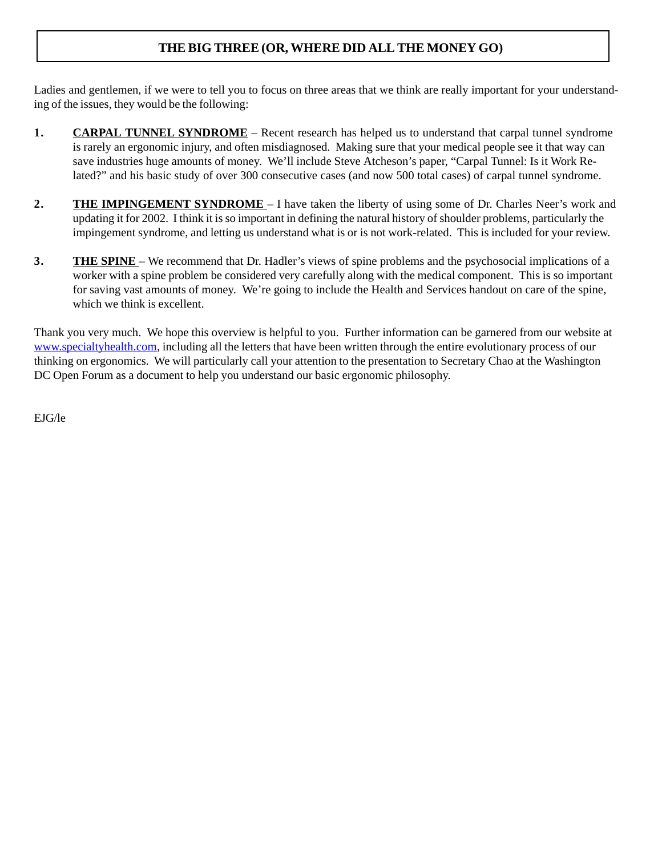## **THE BIG THREE (OR, WHERE DID ALL THE MONEY GO)**

Ladies and gentlemen, if we were to tell you to focus on three areas that we think are really important for your understanding of the issues, they would be the following:

- **1. CARPAL TUNNEL SYNDROME** Recent research has helped us to understand that carpal tunnel syndrome is rarely an ergonomic injury, and often misdiagnosed. Making sure that your medical people see it that way can save industries huge amounts of money. We'll include Steve Atcheson's paper, "Carpal Tunnel: Is it Work Related?" and his basic study of over 300 consecutive cases (and now 500 total cases) of carpal tunnel syndrome.
- **2. THE IMPINGEMENT SYNDROME**  I have taken the liberty of using some of Dr. Charles Neer's work and updating it for 2002. I think it is so important in defining the natural history of shoulder problems, particularly the impingement syndrome, and letting us understand what is or is not work-related. This is included for your review.
- **3. THE SPINE** We recommend that Dr. Hadler's views of spine problems and the psychosocial implications of a worker with a spine problem be considered very carefully along with the medical component. This is so important for saving vast amounts of money. We're going to include the Health and Services handout on care of the spine, which we think is excellent.

Thank you very much. We hope this overview is helpful to you. Further information can be garnered from our website at www.specialtyhealth.com, including all the letters that have been written through the entire evolutionary process of our thinking on ergonomics. We will particularly call your attention to the presentation to Secretary Chao at the Washington DC Open Forum as a document to help you understand our basic ergonomic philosophy.

EJG/le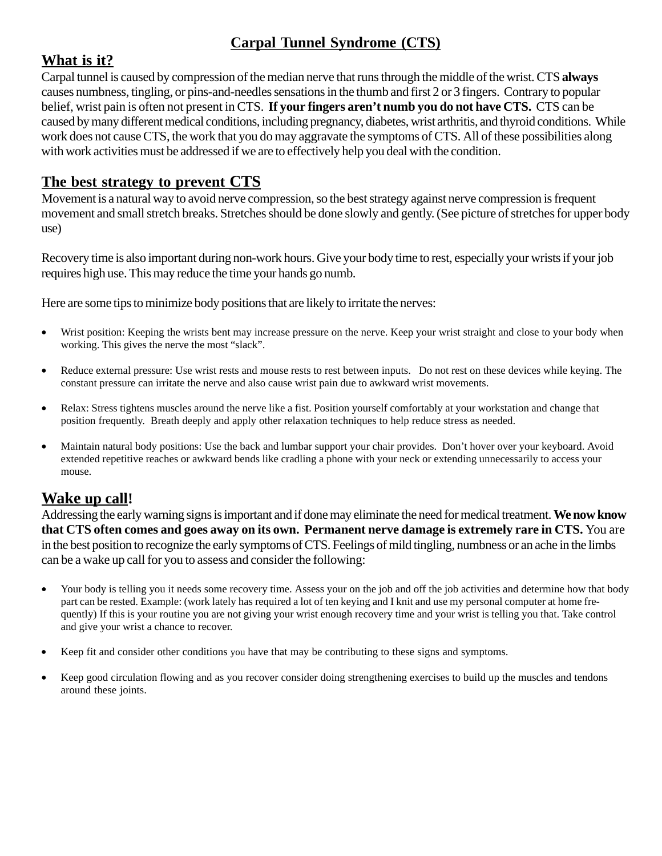# **Carpal Tunnel Syndrome (CTS)**

## **What is it?**

Carpal tunnel is caused by compression of the median nerve that runs through the middle of the wrist. CTS **always** causes numbness, tingling, or pins-and-needles sensations in the thumb and first 2 or 3 fingers. Contrary to popular belief, wrist pain is often not present in CTS. **If your fingers aren't numb you do not have CTS.** CTS can be caused by many different medical conditions, including pregnancy, diabetes, wrist arthritis, and thyroid conditions. While work does not cause CTS, the work that you do may aggravate the symptoms of CTS. All of these possibilities along with work activities must be addressed if we are to effectively help you deal with the condition.

## **The best strategy to prevent CTS**

Movement is a natural way to avoid nerve compression, so the best strategy against nerve compression is frequent movement and small stretch breaks. Stretches should be done slowly and gently. (See picture of stretches for upper body use)

Recovery time is also important during non-work hours. Give your body time to rest, especially your wrists if your job requires high use. This may reduce the time your hands go numb.

Here are some tips to minimize body positions that are likely to irritate the nerves:

- Wrist position: Keeping the wrists bent may increase pressure on the nerve. Keep your wrist straight and close to your body when working. This gives the nerve the most "slack".
- Reduce external pressure: Use wrist rests and mouse rests to rest between inputs. Do not rest on these devices while keying. The constant pressure can irritate the nerve and also cause wrist pain due to awkward wrist movements.
- Relax: Stress tightens muscles around the nerve like a fist. Position yourself comfortably at your workstation and change that position frequently. Breath deeply and apply other relaxation techniques to help reduce stress as needed.
- Maintain natural body positions: Use the back and lumbar support your chair provides. Don't hover over your keyboard. Avoid extended repetitive reaches or awkward bends like cradling a phone with your neck or extending unnecessarily to access your mouse.

## **Wake up call!**

Addressing the early warning signs is important and if done may eliminate the need for medical treatment. **We now know that CTS often comes and goes away on its own. Permanent nerve damage is extremely rare in CTS.** You are in the best position to recognize the early symptomsof CTS. Feelings of mild tingling, numbness or an ache in the limbs can be a wake up call for you to assess and consider the following:

- Your body is telling you it needs some recovery time. Assess your on the job and off the job activities and determine how that body part can be rested. Example: (work lately has required a lot of ten keying and I knit and use my personal computer at home frequently) If this is your routine you are not giving your wrist enough recovery time and your wrist is telling you that. Take control and give your wrist a chance to recover.
- Keep fit and consider other conditions you have that may be contributing to these signs and symptoms.
- Keep good circulation flowing and as you recover consider doing strengthening exercises to build up the muscles and tendons around these joints.